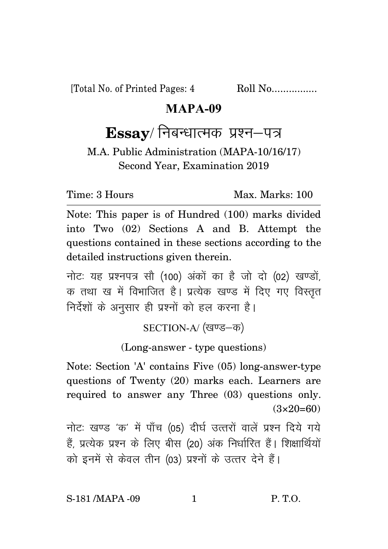[Total No. of Printed Pages: 4 Roll No.................

## **MAPA-09**

## $\textbf{Essay}/$  निबन्धात्मक प्रश्न–पत्र

M.A. Public Administration (MAPA-10/16/17) Second Year, Examination 2019

Time: 3 Hours Max. Marks: 100

Note: This paper is of Hundred (100) marks divided into Two (02) Sections A and B. Attempt the questions contained in these sections according to the detailed instructions given therein.

नोट: यह प्रश्नपत्र सौ (100) अंकों का है जो दो (02) खण्डों. क तथा ख में विभाजित है। प्रत्येक खण्ड में दिए गए विस्तृत निर्देशों के अनुसार ही प्रश्नों को हल करना है।

SECTION-A/ (खण्ड-क)

(Long-answer - type questions)

Note: Section 'A' contains Five (05) long-answer-type questions of Twenty (20) marks each. Learners are required to answer any Three (03) questions only.  $(3\times20=60)$ 

नोटः खण्ड 'क' में पाँच (05) दीर्घ उत्तरों वालें प्रश्न दिये गये हैं, प्रत्येक प्रश्न के लिए बीस (20) अंक निर्धारित हैं। शिक्षार्थियों को इनमें से केवल तीन (03) प्रश्नों के उत्तर देने हैं।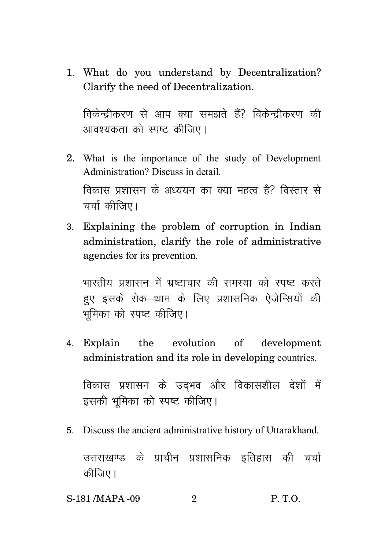1. What do you understand by Decentralization? Clarify the need of Decentralization.

विकेन्द्रीकरण से आप क्या समझते हैं? विकेन्द्रीकरण की आवश्यकता को स्पष्ट कीजिए।

- 2. What is the importance of the study of Development Administration? Discuss in detail. विकास प्रशासन के अध्ययन का क्या महत्व है? विस्तार से चर्चा कीजिए।
- 3- Explaining the problem of corruption in Indian administration, clarify the role of administrative agencies for its prevention.

भारतीय प्रशासन में भ्रष्टाचार की समस्या को स्पष्ट करते हुए इसके रोक–थाम के लिए प्रशासनिक ऐजेन्सियों की भमिका को स्पष्ट कीजिए।

4- Explain the evolution of development administration and its role in developing countries.

विकास प्रशासन के उदभव और विकासशील देशों में इसकी भूमिका को स्पष्ट कीजिए।

5- Discuss the ancient administrative history of Uttarakhand.

उत्तराखण्ड के प्राचीन प्रशासनिक इतिहास की चर्चा कीजिए।

S-181 /MAPA -09 2 P. T.O.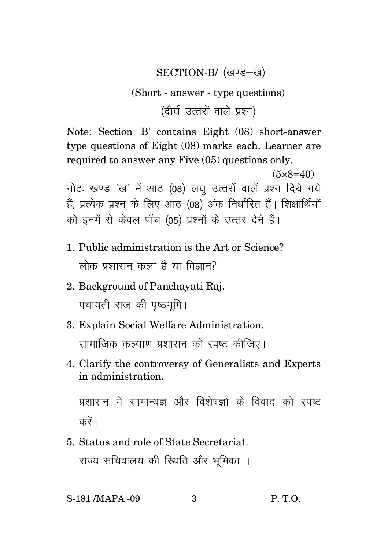## SECTION-B/ (खण्ड–ख)

## (Short - answer - type questions)

(दीर्घ उत्तरों वाले प्रश्न)

Note: Section 'B' contains Eight (08) short-answer tvoe questions of Eight (08) marks each. Learner are required to answer any Five (05) questions only.

 $(5 \times 8 = 40)$ नोटः खण्ड 'ख' में आठ (08) लघु उत्तरों वालें प्रश्न दिये गये हैं, प्रत्येक प्रश्न के लिए आठ (08) अंक निर्धारित हैं। शिक्षार्थियों को इनमें से केवल पाँच (05) प्रश्नों के उत्तर देने हैं।

- 1. Public administration is the Art or Science? लोक प्रशासन कला है या विज्ञान?
- 2. Background of Panchayati Raj. पंचायती राज की पुष्ठभूमि।
- 3. Explain Social Welfare Administration. सामाजिक कल्याण प्रशासन को स्पष्ट कीजिए।
- 4. Clarify the controversy of Generalists and Experts in administration.

प्रशासन में सामान्यज्ञ और विशेषज्ञों के विवाद को स्पष्ट करें ।

5. Status and role of State Secretariat. राज्य सचिवालय की स्थिति और भूमिका ।

S-181 / MAPA - 09

 $\mathcal{S}$